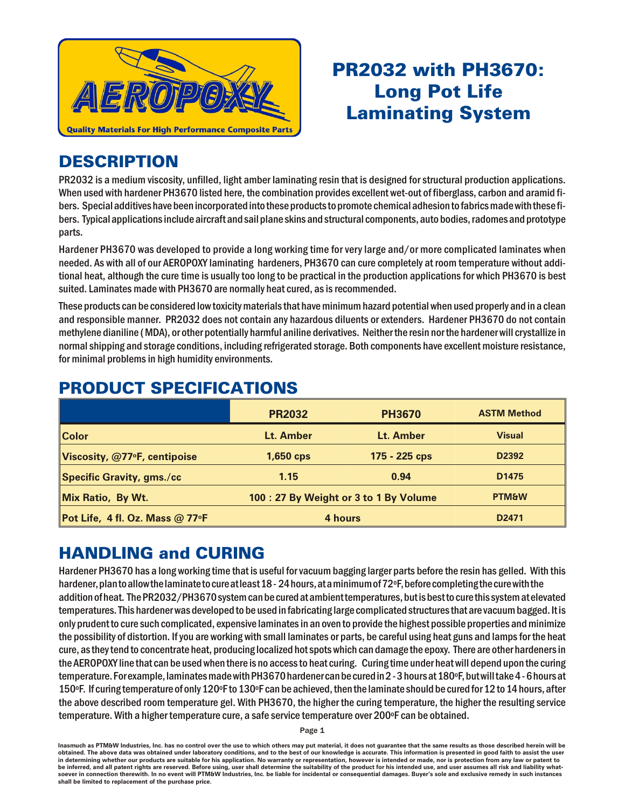

# PR2032 with PH3670: Long Pot Life **Laminating System**

### **DESCRIPTION**

PR2032 is a medium viscosity, unfilled, light amber laminating resin that is designed for structural production applications. When used with hardener PH3670 listed here, the combination provides excellent wet-out of fiberglass, carbon and aramid fibers. Special additives have been incorporated into these products to promote chemical adhesion to fabrics made with these fibers. Typical applications include aircraft and sail plane skins and structural components, auto bodies, radomes and prototype parts.

Hardener PH3670 was developed to provide a long working time for very large and/or more complicated laminates when needed. As with all of our AEROPOXY laminating hardeners, PH3670 can cure completely at room temperature without additional heat, although the cure time is usually too long to be practical in the production applications for which PH3670 is best suited. Laminates made with PH3670 are normally heat cured, as is recommended.

These products can be considered low toxicity materials that have minimum hazard potential when used properly and in a clean and responsible manner. PR2032 does not contain any hazardous diluents or extenders. Hardener PH3670 do not contain methylene dianiline (MDA), or other potentially harmful aniline derivatives. Neither the resin nor the hardener will crystallize in normal shipping and storage conditions, including refrigerated storage. Both components have excellent moisture resistance, for minimal problems in high humidity environments.

|                                  | <b>PR2032</b>                         | <b>PH3670</b> | <b>ASTM Method</b> |
|----------------------------------|---------------------------------------|---------------|--------------------|
| <b>Color</b>                     | Lt. Amber                             | Lt. Amber     | <b>Visual</b>      |
| Viscosity, @77°F, centipoise     | 1,650 cps                             | 175 - 225 cps | D <sub>2392</sub>  |
| <b>Specific Gravity, gms./cc</b> | 1.15                                  | 0.94          | D <sub>1475</sub>  |
| Mix Ratio, By Wt.                | 100: 27 By Weight or 3 to 1 By Volume |               | <b>PTM&amp;W</b>   |
| Pot Life, 4 fl. Oz. Mass @ 77°F  | 4 hours                               |               | D <sub>2471</sub>  |

## **PRODUCT SPECIFICATIONS**

## **HANDLING and CURING**

Hardener PH3670 has a long working time that is useful for vacuum bagging larger parts before the resin has gelled. With this hardener, plan to allow the laminate to cure at least  $18 - 24$  hours, at a minimum of  $72^\circ$ F, before completing the cure with the addition of heat. The PR2032/PH3670 system can be cured at ambient temperatures, but is best to cure this system at elevated temperatures. This hardener was developed to be used in fabricating large complicated structures that are vacuum bagged. It is only prudent to cure such complicated, expensive laminates in an oven to provide the highest possible properties and minimize the possibility of distortion. If you are working with small laminates or parts, be careful using heat guns and lamps for the heat cure, as they tend to concentrate heat, producing localized hot spots which can damage the epoxy. There are other hardeners in the AEROPOXY line that can be used when there is no access to heat curing. Curing time under heat will depend upon the curing temperature. For example, laminates made with PH3670 hardener can be cured in 2 - 3 hours at 180°F, but will take 4 - 6 hours at 150°F. If curing temperature of only 120°F to 130°F can be achieved, then the laminate should be cured for 12 to 14 hours, after the above described room temperature gel. With PH3670, the higher the curing temperature, the higher the resulting service tem perature. With a higher tem perature cure, a safe service tem perature over 200°F can be obtained.

Page 1

Inasmuch as PTM&W Industries, Inc. has no control over the use to which others may put material, it does not guarantee that the same results as those described herein will be obtained. The above data was obtained under laboratory conditions, and to the best of our knowledge is accurate. This information is presented in good faith to assist the user in determining whether our products are suitable for his application. No warranty or representation, however is intended or made, nor is protection from any law be inferred, and all patent rights are reserved. Before using, user shall determine the suitability of the product for his intended use, and user assumes all risk and liability whatsoever in connection therewith. In no event will PTM&W Industries, Inc. be liable for incidental or consequential damages. Buyer's sole and exclusive remedy in such instances shall be limited to replacement of the purchase price.